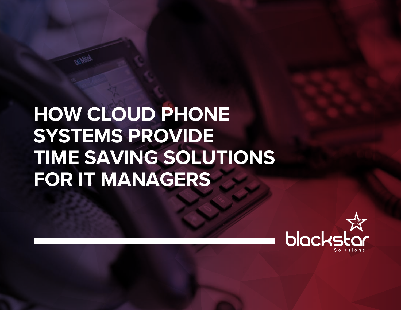# **HOW CLOUD PHONE SYSTEMS PROVIDE TIME SAVING SOLUTIONS FOR IT MANAGERS**

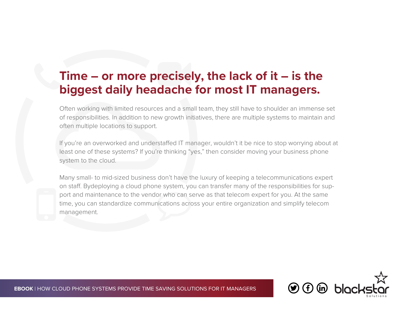# **Time – or more precisely, the lack of it – is the biggest daily headache for most IT managers.**

Often working with limited resources and a small team, they still have to shoulder an immense set of responsibilities. In addition to new growth initiatives, there are multiple systems to maintain and often multiple locations to support.

If you're an overworked and understaffed IT manager, wouldn't it be nice to stop worrying about at least one of these systems? If you're thinking "yes," then consider moving your business phone system to the cloud.

Many small- to mid-sized business don't have the luxury of keeping a telecommunications expert on staff. Bydeploying a cloud phone system, you can transfer many of the responsibilities for support and maintenance to the vendor who can serve as that telecom expert for you. At the same time, you can standardize communications across your entire organization and simplify telecom management.



**EBOOK** I HOW CLOUD PHONE SYSTEMS PROVIDE TIME SAVING SOLUTIONS FOR IT MANAGERS **And Sound (1)** (f) (in)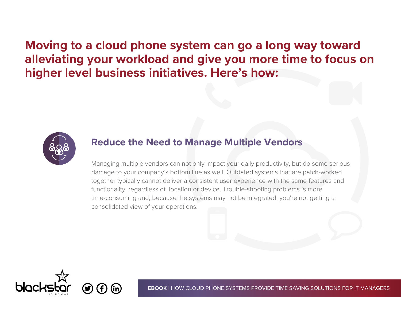**Moving to a cloud phone system can go a long way toward alleviating your workload and give you more time to focus on higher level business initiatives. Here's how:**



#### **Reduce the Need to Manage Multiple Vendors**

Managing multiple vendors can not only impact your daily productivity, but do some serious damage to your company's bottom line as well. Outdated systems that are patch-worked together typically cannot deliver a consistent user experience with the same features and functionality, regardless of location or device. Trouble-shooting problems is more time-consuming and, because the systems may not be integrated, you're not getting a consolidated view of your operations.



**EBOOK** | HOW CLOUD PHONE SYSTEMS PROVIDE TIME SAVING SOLUTIONS FOR IT MANAGERS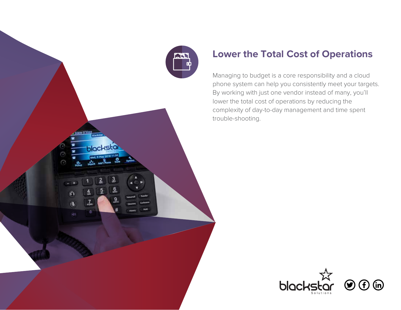

# **Lower the Total Cost of Operations**

Managing to budget is a core responsibility and a cloud phone system can help you consistently meet your targets. By working with just one vendor instead of many, you'll lower the total cost of operations by reducing the complexity of day-to-day management and time spent trouble-shooting.

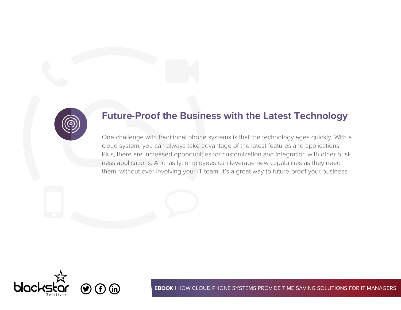

### **Future-Proof the Business with the Latest Technology**

One challenge with traditional phone systems is that the technology ages quickly. With a cloud system, you can always take advantage of the latest features and applications. Plus, there are increased opportunities for customization and integration with other business applications. And lastly, employees can leverage new capabilities as they need them, without ever involving your IT team. It's a great way to future-proof your business.



**EBOOK** | HOW CLOUD PHONE SYSTEMS PROVIDE TIME SAVING SOLUTIONS FOR IT MANAGERS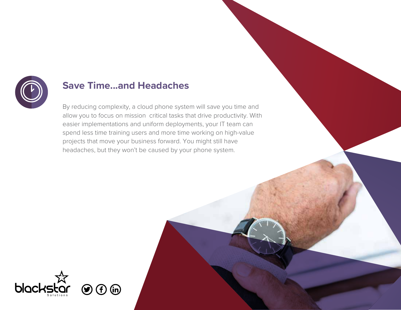

## **Save Time...and Headaches**

By reducing complexity, a cloud phone system will save you time and allow you to focus on mission critical tasks that drive productivity. With easier implementations and uniform deployments, your IT team can spend less time training users and more time working on high-value projects that move your business forward. You might still have headaches, but they won't be caused by your phone system.

**eBook:**

**EBOOK** | HOW CLOUD PHONE SYSTEMS PROVIDE TIME SAVING SOLUTIONS FOR IT MANAGERS